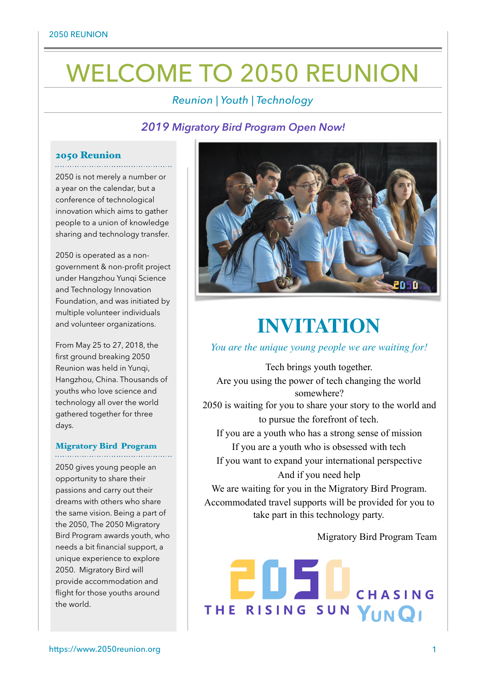# WELCOME TO 2050 REUNION

## *Reunion | Youth | Technology*

## *2019 Migratory Bird Program Open Now!*

## 2050 Reunion

2050 is not merely a number or a year on the calendar, but a conference of technological innovation which aims to gather people to a union of knowledge sharing and technology transfer.

2050 is operated as a nongovernment & non-profit project under Hangzhou Yunqi Science and Technology Innovation Foundation, and was initiated by multiple volunteer individuals and volunteer organizations.

From May 25 to 27, 2018, the first ground breaking 2050 Reunion was held in Yunqi, Hangzhou, China. Thousands of youths who love science and technology all over the world gathered together for three days.

#### Migratory Bird Program

2050 gives young people an opportunity to share their passions and carry out their dreams with others who share the same vision. Being a part of the 2050, The 2050 Migratory Bird Program awards youth, who needs a bit financial support, a unique experience to explore 2050. Migratory Bird will provide accommodation and flight for those youths around the world.



## **INVITATION**

*You are the unique young people we are waiting for!* 

Tech brings youth together. Are you using the power of tech changing the world somewhere? 2050 is waiting for you to share your story to the world and to pursue the forefront of tech. If you are a youth who has a strong sense of mission If you are a youth who is obsessed with tech If you want to expand your international perspective And if you need help We are waiting for you in the Migratory Bird Program. Accommodated travel supports will be provided for you to take part in this technology party.

Migratory Bird Program Team

CHASING THE RISING SUN YUNQI